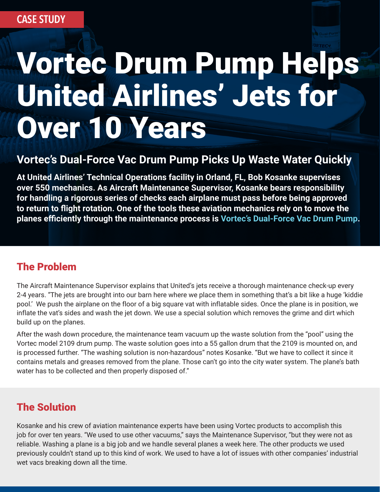# Vortec Drum Pump Helps United Airlines' Jets for Over 10 Years

### **Vortec's Dual-Force Vac Drum Pump Picks Up Waste Water Quickly**

**At United Airlines' Technical Operations facility in Orland, FL, Bob Kosanke supervises over 550 mechanics. As Aircraft Maintenance Supervisor, Kosanke bears responsibility for handling a rigorous series of checks each airplane must pass before being approved to return to flight rotation. One of the tools these aviation mechanics rely on to move the planes efficiently through the maintenance process is [Vortec's Dual-Force Vac Drum Pump.](https://www.vortec.com/dual-force-vac-drum-pump-1/overview)**

#### The Problem

The Aircraft Maintenance Supervisor explains that United's jets receive a thorough maintenance check-up every 2-4 years. "The jets are brought into our barn here where we place them in something that's a bit like a huge 'kiddie pool.' We push the airplane on the floor of a big square vat with inflatable sides. Once the plane is in position, we inflate the vat's sides and wash the jet down. We use a special solution which removes the grime and dirt which build up on the planes.

After the wash down procedure, the maintenance team vacuum up the waste solution from the "pool" using the Vortec model 2109 drum pump. The waste solution goes into a 55 gallon drum that the 2109 is mounted on, and is processed further. "The washing solution is non-hazardous" notes Kosanke. "But we have to collect it since it contains metals and greases removed from the plane. Those can't go into the city water system. The plane's bath water has to be collected and then properly disposed of."

#### The Solution

Kosanke and his crew of aviation maintenance experts have been using Vortec products to accomplish this job for over ten years. "We used to use other vacuums," says the Maintenance Supervisor, "but they were not as reliable. Washing a plane is a big job and we handle several planes a week here. The other products we used previously couldn't stand up to this kind of work. We used to have a lot of issues with other companies' industrial wet vacs breaking down all the time.